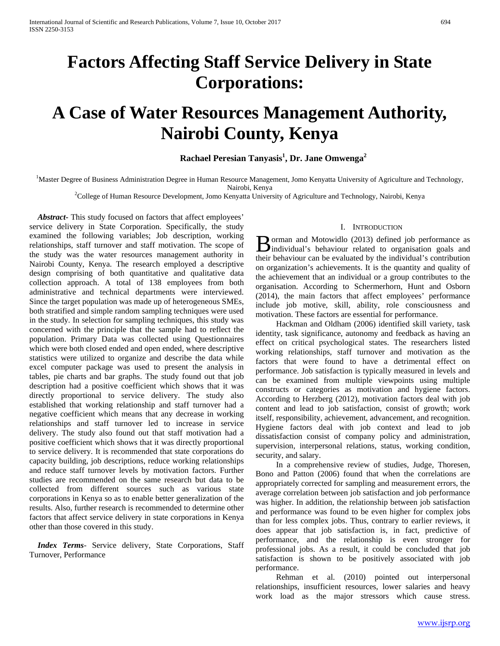## **Factors Affecting Staff Service Delivery in State Corporations:**

# **A Case of Water Resources Management Authority, Nairobi County, Kenya**

## **Rachael Peresian Tanyasis1 , Dr. Jane Omwenga<sup>2</sup>**

<sup>1</sup>Master Degree of Business Administration Degree in Human Resource Management, Jomo Kenyatta University of Agriculture and Technology,

Nairobi, Kenya <sup>2</sup> College of Human Resource Development, Jomo Kenyatta University of Agriculture and Technology, Nairobi, Kenya

 *Abstract***-** This study focused on factors that affect employees' service delivery in State Corporation. Specifically, the study examined the following variables; Job description, working relationships, staff turnover and staff motivation. The scope of the study was the water resources management authority in Nairobi County, Kenya. The research employed a descriptive design comprising of both quantitative and qualitative data collection approach. A total of 138 employees from both administrative and technical departments were interviewed. Since the target population was made up of heterogeneous SMEs, both stratified and simple random sampling techniques were used in the study. In selection for sampling techniques, this study was concerned with the principle that the sample had to reflect the population. Primary Data was collected using Questionnaires which were both closed ended and open ended, where descriptive statistics were utilized to organize and describe the data while excel computer package was used to present the analysis in tables, pie charts and bar graphs. The study found out that job description had a positive coefficient which shows that it was directly proportional to service delivery. The study also established that working relationship and staff turnover had a negative coefficient which means that any decrease in working relationships and staff turnover led to increase in service delivery. The study also found out that staff motivation had a positive coefficient which shows that it was directly proportional to service delivery. It is recommended that state corporations do capacity building, job descriptions, reduce working relationships and reduce staff turnover levels by motivation factors. Further studies are recommended on the same research but data to be collected from different sources such as various state corporations in Kenya so as to enable better generalization of the results. Also, further research is recommended to determine other factors that affect service delivery in state corporations in Kenya other than those covered in this study.

 *Index Terms*- Service delivery, State Corporations, Staff Turnover, Performance

#### I. INTRODUCTION

orman and Motowidlo (2013) defined job performance as **B** orman and Motowidlo (2013) defined job performance as individual's behaviour related to organisation goals and their behaviour can be evaluated by the individual's contribution on organization's achievements. It is the quantity and quality of the achievement that an individual or a group contributes to the organisation. According to Schermerhorn, Hunt and Osborn (2014), the main factors that affect employees' performance include job motive, skill, ability, role consciousness and motivation. These factors are essential for performance.

 Hackman and Oldham (2006) identified skill variety, task identity, task significance, autonomy and feedback as having an effect on critical psychological states. The researchers listed working relationships, staff turnover and motivation as the factors that were found to have a detrimental effect on performance. Job satisfaction is typically measured in levels and can be examined from multiple viewpoints using multiple constructs or categories as motivation and hygiene factors. According to Herzberg (2012), motivation factors deal with job content and lead to job satisfaction, consist of growth; work itself, responsibility, achievement, advancement, and recognition. Hygiene factors deal with job context and lead to job dissatisfaction consist of company policy and administration, supervision, interpersonal relations, status, working condition, security, and salary.

 In a comprehensive review of studies, Judge, Thoresen, Bono and Patton (2006) found that when the correlations are appropriately corrected for sampling and measurement errors, the average correlation between job satisfaction and job performance was higher. In addition, the relationship between job satisfaction and performance was found to be even higher for complex jobs than for less complex jobs. Thus, contrary to earlier reviews, it does appear that job satisfaction is, in fact, predictive of performance, and the relationship is even stronger for professional jobs. As a result, it could be concluded that job satisfaction is shown to be positively associated with job performance.

 Rehman et al. (2010) pointed out interpersonal relationships, insufficient resources, lower salaries and heavy work load as the major stressors which cause stress.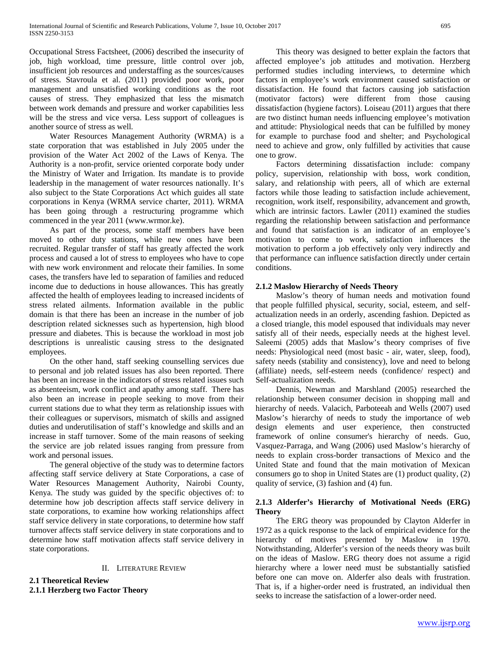Occupational Stress Factsheet, (2006) described the insecurity of job, high workload, time pressure, little control over job, insufficient job resources and understaffing as the sources/causes of stress. Stavroula et al. (2011) provided poor work, poor management and unsatisfied working conditions as the root causes of stress. They emphasized that less the mismatch between work demands and pressure and worker capabilities less will be the stress and vice versa. Less support of colleagues is another source of stress as well.

 Water Resources Management Authority (WRMA) is a state corporation that was established in July 2005 under the provision of the Water Act 2002 of the Laws of Kenya. The Authority is a non-profit, service oriented corporate body under the Ministry of Water and Irrigation. Its mandate is to provide leadership in the management of water resources nationally. It's also subject to the State Corporations Act which guides all state corporations in Kenya (WRMA service charter, 2011). WRMA has been going through a restructuring programme which commenced in the year 2011 (www.wrmor.ke).

 As part of the process, some staff members have been moved to other duty stations, while new ones have been recruited. Regular transfer of staff has greatly affected the work process and caused a lot of stress to employees who have to cope with new work environment and relocate their families. In some cases, the transfers have led to separation of families and reduced income due to deductions in house allowances. This has greatly affected the health of employees leading to increased incidents of stress related ailments. Information available in the public domain is that there has been an increase in the number of job description related sicknesses such as hypertension, high blood pressure and diabetes. This is because the workload in most job descriptions is unrealistic causing stress to the designated employees.

 On the other hand, staff seeking counselling services due to personal and job related issues has also been reported. There has been an increase in the indicators of stress related issues such as absenteeism, work conflict and apathy among staff. There has also been an increase in people seeking to move from their current stations due to what they term as relationship issues with their colleagues or supervisors, mismatch of skills and assigned duties and underutilisation of staff's knowledge and skills and an increase in staff turnover. Some of the main reasons of seeking the service are job related issues ranging from pressure from work and personal issues.

 The general objective of the study was to determine factors affecting staff service delivery at State Corporations, a case of Water Resources Management Authority, Nairobi County, Kenya. The study was guided by the specific objectives of: to determine how job description affects staff service delivery in state corporations, to examine how working relationships affect staff service delivery in state corporations, to determine how staff turnover affects staff service delivery in state corporations and to determine how staff motivation affects staff service delivery in state corporations.

#### II. LITERATURE REVIEW

**2.1 Theoretical Review 2.1.1 Herzberg two Factor Theory** 

 This theory was designed to better explain the factors that affected employee's job attitudes and motivation. Herzberg performed studies including interviews, to determine which factors in employee's work environment caused satisfaction or dissatisfaction. He found that factors causing job satisfaction (motivator factors) were different from those causing dissatisfaction (hygiene factors). Loiseau (2011) argues that there are two distinct human needs influencing employee's motivation and attitude: Physiological needs that can be fulfilled by money for example to purchase food and shelter; and Psychological need to achieve and grow, only fulfilled by activities that cause one to grow.

 Factors determining dissatisfaction include: company policy, supervision, relationship with boss, work condition, salary, and relationship with peers, all of which are external factors while those leading to satisfaction include achievement, recognition, work itself, responsibility, advancement and growth, which are intrinsic factors. Lawler (2011) examined the studies regarding the relationship between satisfaction and performance and found that satisfaction is an indicator of an employee's motivation to come to work, satisfaction influences the motivation to perform a job effectively only very indirectly and that performance can influence satisfaction directly under certain conditions.

#### **2.1.2 Maslow Hierarchy of Needs Theory**

 Maslow's theory of human needs and motivation found that people fulfilled physical, security, social, esteem, and selfactualization needs in an orderly, ascending fashion. Depicted as a closed triangle, this model espoused that individuals may never satisfy all of their needs, especially needs at the highest level. Saleemi (2005) adds that Maslow's theory comprises of five needs: Physiological need (most basic - air, water, sleep, food), safety needs (stability and consistency), love and need to belong (affiliate) needs, self-esteem needs (confidence/ respect) and Self-actualization needs.

 Dennis, Newman and Marshland (2005) researched the relationship between consumer decision in shopping mall and hierarchy of needs. Valacich, Parboteeah and Wells (2007) used Maslow's hierarchy of needs to study the importance of web design elements and user experience, then constructed framework of online consumer's hierarchy of needs. Guo, Vasquez-Parraga, and Wang (2006) used Maslow's hierarchy of needs to explain cross-border transactions of Mexico and the United State and found that the main motivation of Mexican consumers go to shop in United States are (1) product quality, (2) quality of service, (3) fashion and (4) fun.

### **2.1.3 Alderfer's Hierarchy of Motivational Needs (ERG) Theory**

 The ERG theory was propounded by Clayton Alderfer in 1972 as a quick response to the lack of empirical evidence for the hierarchy of motives presented by Maslow in 1970. Notwithstanding, Alderfer's version of the needs theory was built on the ideas of Maslow. ERG theory does not assume a rigid hierarchy where a lower need must be substantially satisfied before one can move on. Alderfer also deals with frustration. That is, if a higher-order need is frustrated, an individual then seeks to increase the satisfaction of a lower-order need.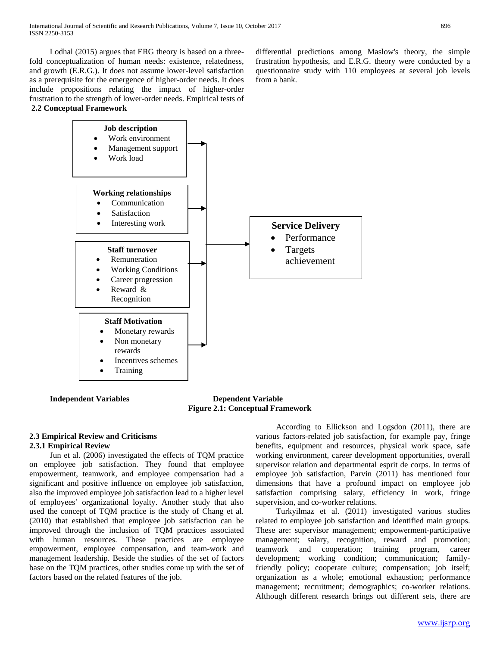Lodhal (2015) argues that ERG theory is based on a threefold conceptualization of human needs: existence, relatedness, and growth (E.R.G.). It does not assume lower-level satisfaction as a prerequisite for the emergence of higher-order needs. It does include propositions relating the impact of higher-order frustration to the strength of lower-order needs. Empirical tests of **2.2 Conceptual Framework**

differential predictions among Maslow's theory, the simple frustration hypothesis, and E.R.G. theory were conducted by a questionnaire study with 110 employees at several job levels from a bank.



 **Independent Variables Dependent Variable Figure 2.1: Conceptual Framework**

## **2.3 Empirical Review and Criticisms 2.3.1 Empirical Review**

 Jun et al. (2006) investigated the effects of TQM practice on employee job satisfaction. They found that employee empowerment, teamwork, and employee compensation had a significant and positive influence on employee job satisfaction, also the improved employee job satisfaction lead to a higher level of employees' organizational loyalty. Another study that also used the concept of TQM practice is the study of Chang et al. (2010) that established that employee job satisfaction can be improved through the inclusion of TQM practices associated with human resources. These practices are employee empowerment, employee compensation, and team-work and management leadership. Beside the studies of the set of factors base on the TQM practices, other studies come up with the set of factors based on the related features of the job.

 According to Ellickson and Logsdon (2011), there are various factors-related job satisfaction, for example pay, fringe benefits, equipment and resources, physical work space, safe working environment, career development opportunities, overall supervisor relation and departmental esprit de corps. In terms of employee job satisfaction, Parvin (2011) has mentioned four dimensions that have a profound impact on employee job satisfaction comprising salary, efficiency in work, fringe supervision, and co-worker relations.

 Turkyilmaz et al. (2011) investigated various studies related to employee job satisfaction and identified main groups. These are: supervisor management; empowerment-participative management; salary, recognition, reward and promotion; teamwork and cooperation; training program, career development; working condition; communication; familyfriendly policy; cooperate culture; compensation; job itself; organization as a whole; emotional exhaustion; performance management; recruitment; demographics; co-worker relations. Although different research brings out different sets, there are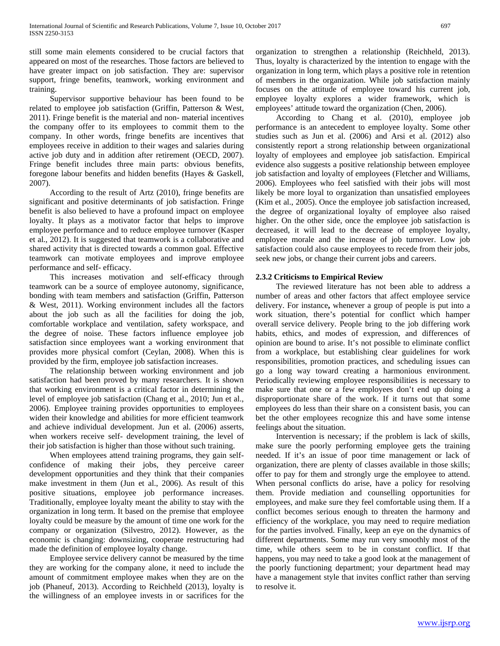still some main elements considered to be crucial factors that appeared on most of the researches. Those factors are believed to have greater impact on job satisfaction. They are: supervisor support, fringe benefits, teamwork, working environment and training.

 Supervisor supportive behaviour has been found to be related to employee job satisfaction (Griffin, Patterson & West, 2011). Fringe benefit is the material and non- material incentives the company offer to its employees to commit them to the company. In other words, fringe benefits are incentives that employees receive in addition to their wages and salaries during active job duty and in addition after retirement (OECD, 2007). Fringe benefit includes three main parts: obvious benefits, foregone labour benefits and hidden benefits (Hayes & Gaskell, 2007).

 According to the result of Artz (2010), fringe benefits are significant and positive determinants of job satisfaction. Fringe benefit is also believed to have a profound impact on employee loyalty. It plays as a motivator factor that helps to improve employee performance and to reduce employee turnover (Kasper et al., 2012). It is suggested that teamwork is a collaborative and shared activity that is directed towards a common goal. Effective teamwork can motivate employees and improve employee performance and self- efficacy.

 This increases motivation and self-efficacy through teamwork can be a source of employee autonomy, significance, bonding with team members and satisfaction (Griffin, Patterson & West, 2011). Working environment includes all the factors about the job such as all the facilities for doing the job, comfortable workplace and ventilation, safety workspace, and the degree of noise. These factors influence employee job satisfaction since employees want a working environment that provides more physical comfort (Ceylan, 2008). When this is provided by the firm, employee job satisfaction increases.

 The relationship between working environment and job satisfaction had been proved by many researchers. It is shown that working environment is a critical factor in determining the level of employee job satisfaction (Chang et al., 2010; Jun et al., 2006). Employee training provides opportunities to employees widen their knowledge and abilities for more efficient teamwork and achieve individual development. Jun et al. (2006) asserts, when workers receive self- development training, the level of their job satisfaction is higher than those without such training.

 When employees attend training programs, they gain selfconfidence of making their jobs, they perceive career development opportunities and they think that their companies make investment in them (Jun et al., 2006). As result of this positive situations, employee job performance increases. Traditionally, employee loyalty meant the ability to stay with the organization in long term. It based on the premise that employee loyalty could be measure by the amount of time one work for the company or organization (Silvestro, 2012). However, as the economic is changing: downsizing, cooperate restructuring had made the definition of employee loyalty change.

 Employee service delivery cannot be measured by the time they are working for the company alone, it need to include the amount of commitment employee makes when they are on the job (Phaneuf, 2013). According to Reichheld (2013), loyalty is the willingness of an employee invests in or sacrifices for the

organization to strengthen a relationship (Reichheld, 2013). Thus, loyalty is characterized by the intention to engage with the organization in long term, which plays a positive role in retention of members in the organization. While job satisfaction mainly focuses on the attitude of employee toward his current job, employee loyalty explores a wider framework, which is employees' attitude toward the organization (Chen, 2006).

 According to Chang et al. (2010), employee job performance is an antecedent to employee loyalty. Some other studies such as Jun et al. (2006) and Arsi et al. (2012) also consistently report a strong relationship between organizational loyalty of employees and employee job satisfaction. Empirical evidence also suggests a positive relationship between employee job satisfaction and loyalty of employees (Fletcher and Williams, 2006). Employees who feel satisfied with their jobs will most likely be more loyal to organization than unsatisfied employees (Kim et al., 2005). Once the employee job satisfaction increased, the degree of organizational loyalty of employee also raised higher. On the other side, once the employee job satisfaction is decreased, it will lead to the decrease of employee loyalty, employee morale and the increase of job turnover. Low job satisfaction could also cause employees to recede from their jobs, seek new jobs, or change their current jobs and careers.

### **2.3.2 Criticisms to Empirical Review**

 The reviewed literature has not been able to address a number of areas and other factors that affect employee service delivery. For instance**,** whenever a group of people is put into a work situation, there's potential for conflict which hamper overall service delivery. People bring to the job differing work habits, ethics, and modes of expression, and differences of opinion are bound to arise. It's not possible to eliminate conflict from a workplace, but establishing clear guidelines for work responsibilities, promotion practices, and scheduling issues can go a long way toward creating a harmonious environment. Periodically reviewing employee responsibilities is necessary to make sure that one or a few employees don't end up doing a disproportionate share of the work. If it turns out that some employees do less than their share on a consistent basis, you can bet the other employees recognize this and have some intense feelings about the situation.

 Intervention is necessary; if the problem is lack of skills, make sure the poorly performing employee gets the training needed. If it's an issue of poor time management or lack of organization, there are plenty of classes available in those skills; offer to pay for them and strongly urge the employee to attend. When personal conflicts do arise, have a policy for resolving them. Provide mediation and counselling opportunities for employees, and make sure they feel comfortable using them. If a conflict becomes serious enough to threaten the harmony and efficiency of the workplace, you may need to require mediation for the parties involved. Finally, keep an eye on the dynamics of different departments. Some may run very smoothly most of the time, while others seem to be in constant conflict. If that happens, you may need to take a good look at the management of the poorly functioning department; your department head may have a management style that invites conflict rather than serving to resolve it.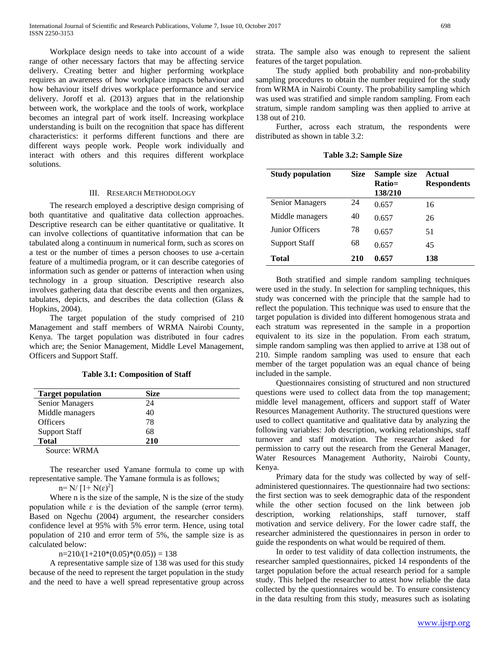Workplace design needs to take into account of a wide range of other necessary factors that may be affecting service delivery. Creating better and higher performing workplace requires an awareness of how workplace impacts behaviour and how behaviour itself drives workplace performance and service delivery. Joroff et al. (2013) argues that in the relationship between work, the workplace and the tools of work, workplace becomes an integral part of work itself. Increasing workplace understanding is built on the recognition that space has different characteristics: it performs different functions and there are different ways people work. People work individually and interact with others and this requires different workplace solutions.

#### III. RESEARCH METHODOLOGY

 The research employed a descriptive design comprising of both quantitative and qualitative data collection approaches. Descriptive research can be either quantitative or qualitative. It can involve collections of quantitative information that can be tabulated along a continuum in numerical form, such as scores on a test or the number of times a person chooses to use a-certain feature of a multimedia program, or it can describe categories of information such as gender or patterns of interaction when using technology in a group situation. Descriptive research also involves gathering data that describe events and then organizes, tabulates, depicts, and describes the data collection (Glass & Hopkins, 2004).

 The target population of the study comprised of 210 Management and staff members of WRMA Nairobi County, Kenya. The target population was distributed in four cadres which are; the Senior Management, Middle Level Management, Officers and Support Staff.

**Table 3.1: Composition of Staff**

| <b>Target population</b> | <b>Size</b> |  |
|--------------------------|-------------|--|
| Senior Managers          | 24          |  |
| Middle managers          | 40          |  |
| <b>Officers</b>          | 78          |  |
| <b>Support Staff</b>     | 68          |  |
| <b>Total</b>             | 210         |  |
| Source: WRMA             |             |  |

 The researcher used Yamane formula to come up with representative sample. The Yamane formula is as follows;

 $n=N/[1+N(\epsilon)^2]$ 

 Where n is the size of the sample, N is the size of the study population while  $\varepsilon$  is the deviation of the sample (error term). Based on Ngechu (2004) argument, the researcher considers confidence level at 95% with 5% error term. Hence, using total population of 210 and error term of 5%, the sample size is as calculated below:

 $n=210/(1+210*(0.05)*(0.05)) = 138$ 

 A representative sample size of 138 was used for this study because of the need to represent the target population in the study and the need to have a well spread representative group across strata. The sample also was enough to represent the salient features of the target population.

 The study applied both probability and non-probability sampling procedures to obtain the number required for the study from WRMA in Nairobi County. The probability sampling which was used was stratified and simple random sampling. From each stratum, simple random sampling was then applied to arrive at 138 out of 210.

 Further, across each stratum, the respondents were distributed as shown in table 3.2:

**Table 3.2: Sample Size**

| <b>Study population</b> | <b>Size</b> | Sample size<br>Ratio=<br>138/210 | Actual<br><b>Respondents</b> |
|-------------------------|-------------|----------------------------------|------------------------------|
| Senior Managers         | 24          | 0.657                            | 16                           |
| Middle managers         | 40          | 0.657                            | 26                           |
| <b>Junior Officers</b>  | 78          | 0.657                            | 51                           |
| <b>Support Staff</b>    | 68          | 0.657                            | 45                           |
| <b>Total</b>            | 210         | 0.657                            | 138                          |

 Both stratified and simple random sampling techniques were used in the study. In selection for sampling techniques, this study was concerned with the principle that the sample had to reflect the population. This technique was used to ensure that the target population is divided into different homogenous strata and each stratum was represented in the sample in a proportion equivalent to its size in the population. From each stratum, simple random sampling was then applied to arrive at 138 out of 210. Simple random sampling was used to ensure that each member of the target population was an equal chance of being included in the sample.

 Questionnaires consisting of structured and non structured questions were used to collect data from the top management; middle level management, officers and support staff of Water Resources Management Authority. The structured questions were used to collect quantitative and qualitative data by analyzing the following variables: Job description, working relationships, staff turnover and staff motivation. The researcher asked for permission to carry out the research from the General Manager, Water Resources Management Authority, Nairobi County, Kenya.

 Primary data for the study was collected by way of selfadministered questionnaires. The questionnaire had two sections: the first section was to seek demographic data of the respondent while the other section focused on the link between job description, working relationships, staff turnover, staff motivation and service delivery. For the lower cadre staff, the researcher administered the questionnaires in person in order to guide the respondents on what would be required of them.

 In order to test validity of data collection instruments, the researcher sampled questionnaires, picked 14 respondents of the target population before the actual research period for a sample study. This helped the researcher to attest how reliable the data collected by the questionnaires would be. To ensure consistency in the data resulting from this study, measures such as isolating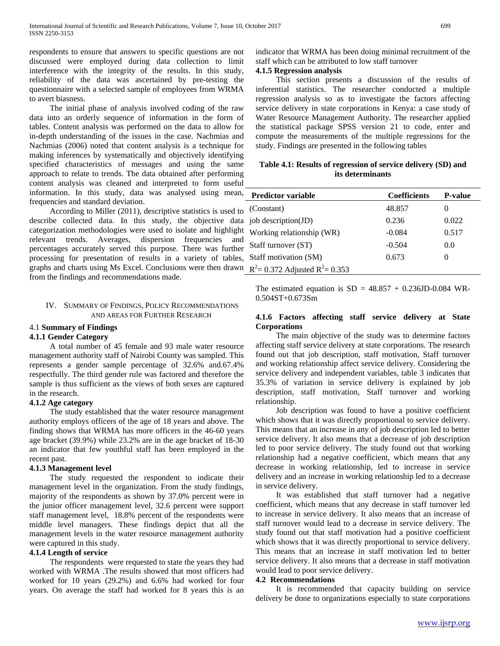respondents to ensure that answers to specific questions are not discussed were employed during data collection to limit interference with the integrity of the results. In this study, reliability of the data was ascertained by pre-testing the questionnaire with a selected sample of employees from WRMA to avert biasness.

 The initial phase of analysis involved coding of the raw data into an orderly sequence of information in the form of tables. Content analysis was performed on the data to allow for in-depth understanding of the issues in the case. Nachmias and Nachmias (2006) noted that content analysis is a technique for making inferences by systematically and objectively identifying specified characteristics of messages and using the same approach to relate to trends. The data obtained after performing content analysis was cleaned and interpreted to form useful information. In this study, data was analysed using mean, frequencies and standard deviation.

 According to Miller (2011), descriptive statistics is used to describe collected data. In this study, the objective data categorization methodologies were used to isolate and highlight relevant trends. Averages, dispersion frequencies and percentages accurately served this purpose. There was further processing for presentation of results in a variety of tables, graphs and charts using Ms Excel. Conclusions were then drawn from the findings and recommendations made.

#### IV. SUMMARY OF FINDINGS, POLICY RECOMMENDATIONS AND AREAS FOR FURTHER RESEARCH

#### 4.1 **Summary of Findings**

### **4.1.1 Gender Category**

 A total number of 45 female and 93 male water resource management authority staff of Nairobi County was sampled. This represents a gender sample percentage of 32.6% and.67.4% respectfully. The third gender rule was factored and therefore the sample is thus sufficient as the views of both sexes are captured in the research.

#### **4.1.2 Age category**

 The study established that the water resource management authority employs officers of the age of 18 years and above. The finding shows that WRMA has more officers in the 46-60 years age bracket (39.9%) while 23.2% are in the age bracket of 18-30 an indicator that few youthful staff has been employed in the recent past.

#### **4.1.3 Management level**

 The study requested the respondent to indicate their management level in the organization. From the study findings, majority of the respondents as shown by 37.0% percent were in the junior officer management level, 32.6 percent were support staff management level, 18.8% percent of the respondents were middle level managers. These findings depict that all the management levels in the water resource management authority were captured in this study.

#### **4.1.4 Length of service**

 The respondents were requested to state the years they had worked with WRMA .The results showed that most officers had worked for 10 years (29.2%) and 6.6% had worked for four years. On average the staff had worked for 8 years this is an indicator that WRMA has been doing minimal recruitment of the staff which can be attributed to low staff turnover

#### **4.1.5 Regression analysis**

 This section presents a discussion of the results of inferential statistics. The researcher conducted a multiple regression analysis so as to investigate the factors affecting service delivery in state corporations in Kenya: a case study of Water Resource Management Authority. The researcher applied the statistical package SPSS version 21 to code, enter and compute the measurements of the multiple regressions for the study. Findings are presented in the following tables

#### **Table 4.1: Results of regression of service delivery (SD) and its determinants**

| <b>Predictor variable</b>            | <b>Coefficients</b> | <b>P-value</b> |
|--------------------------------------|---------------------|----------------|
| (Constant)                           | 48.857              | $\theta$       |
| job description(JD)                  | 0.236               | 0.022          |
| Working relationship (WR)            | $-0.084$            | 0.517          |
| Staff turnover (ST)                  | $-0.504$            | 0.0            |
| Staff motivation (SM)                | 0.673               |                |
| $R^2$ = 0.372 Adjusted $R^2$ = 0.353 |                     |                |

The estimated equation is  $SD = 48.857 + 0.236JD - 0.084$  WR-0.504ST+0.673Sm

### **4.1.6 Factors affecting staff service delivery at State Corporations**

 The main objective of the study was to determine factors affecting staff service delivery at state corporations. The research found out that job description, staff motivation, Staff turnover and working relationship affect service delivery. Considering the service delivery and independent variables, table 3 indicates that 35.3% of variation in service delivery is explained by job description, staff motivation, Staff turnover and working relationship.

 Job description was found to have a positive coefficient which shows that it was directly proportional to service delivery. This means that an increase in any of job description led to better service delivery. It also means that a decrease of job description led to poor service delivery. The study found out that working relationship had a negative coefficient, which means that any decrease in working relationship, led to increase in service delivery and an increase in working relationship led to a decrease in service delivery.

 It was established that staff turnover had a negative coefficient, which means that any decrease in staff turnover led to increase in service delivery. It also means that an increase of staff turnover would lead to a decrease in service delivery. The study found out that staff motivation had a positive coefficient which shows that it was directly proportional to service delivery. This means that an increase in staff motivation led to better service delivery. It also means that a decrease in staff motivation would lead to poor service delivery.

### **4.2 Recommendations**

 It is recommended that capacity building on service delivery be done to organizations especially to state corporations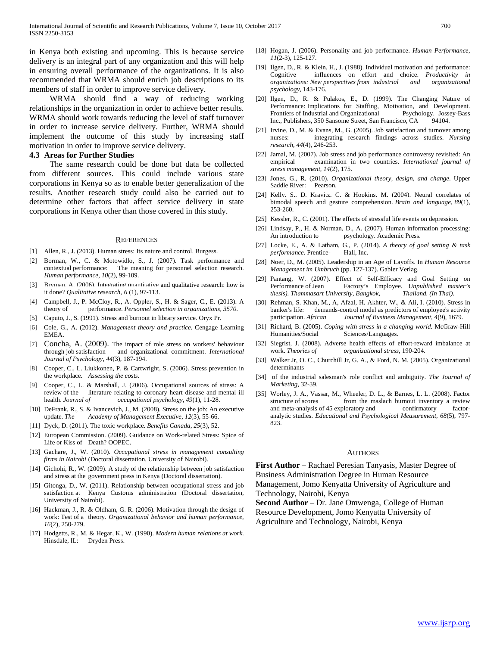in Kenya both existing and upcoming. This is because service delivery is an integral part of any organization and this will help in ensuring overall performance of the organizations. It is also recommended that WRMA should enrich job descriptions to its members of staff in order to improve service delivery.

 WRMA should find a way of reducing working relationships in the organization in order to achieve better results. WRMA should work towards reducing the level of staff turnover in order to increase service delivery. Further, WRMA should implement the outcome of this study by increasing staff motivation in order to improve service delivery.

#### **4.3 Areas for Further Studies**

 The same research could be done but data be collected from different sources. This could include various state corporations in Kenya so as to enable better generalization of the results. Another research study could also be carried out to determine other factors that affect service delivery in state corporations in Kenya other than those covered in this study.

#### **REFERENCES**

- [1] Allen, R., J. (2013). Human stress: Its nature and control. Burgess.
- [2] Borman, W., C. & Motowidlo, S., J. (2007). Task performance and contextual performance: The meaning for personnel selection research. *Human performance*, *10*(2), 99-109.
- [3] Bryman, A. (2006). Integrating quantitative and qualitative research: how is it done? *Qualitative research*, *6* (1), 97-113.
- [4] Campbell, J., P. McCloy, R., A. Oppler, S., H. & Sager, C., E. (2013). A theory of performance. *Personnel selection in organizations*, *3570*.
- [5] Caputo, J., S. (1991). Stress and burnout in library service. Oryx Pr.
- [6] Cole, G., A. (2012). *Management theory and practice*. Cengage Learning EMEA.
- [7] Concha, A. (2009). The impact of role stress on workers' behaviour through job satisfaction and organizational commitment. *International Journal of Psychology*, *44*(3), 187-194.
- [8] Cooper, C., L. Liukkonen, P. & Cartwright, S. (2006). Stress prevention in the workplace. *Assessing the costs*.
- [9] Cooper, C., L. & Marshall, J. (2006). Occupational sources of stress: A review of the literature relating to coronary heart disease and mental ill health. *Journal of occupational psychology*, *49*(1), 11-28.
- [10] DeFrank, R., S. & Ivancevich, J., M. (2008). Stress on the job: An executive update. *The Academy of Management Executive*, *12*(3), 55-66.
- [11] Dyck, D. (2011). The toxic workplace. *Benefits Canada*, *25*(3), 52.
- [12] European Commission. (2009). Guidance on Work-related Stress: Spice of Life or Kiss of Death? OOPEC.
- [13] Gachare, J., W. (2010). *Occupational stress in management consulting firms in Nairobi* (Doctoral dissertation, University of Nairobi).
- [14] Gichohi, R., W. (2009). A study of the relationship between job satisfaction and stress at the government press in Kenya (Doctoral dissertation).
- [15] Gitonga, D., W. (2011). Relationship between occupational stress and job satisfaction at Kenya Customs administration (Doctoral dissertation, University of Nairobi).
- [16] Hackman, J., R. & Oldham, G. R. (2006). Motivation through the design of work: Test of a theory. *Organizational behavior and human performance*, *16*(2), 250-279.
- [17] Hodgetts, R., M. & Hegar, K., W. (1990). *Modern human relations at work*. Hinsdale, IL: Dryden Press.
- [18] Hogan, J. (2006). Personality and job performance. *Human Performance*, *11*(2-3), 125-127.
- [19] Ilgen, D., R. & Klein, H., J. (1988). Individual motivation and performance: Cognitive influences on effort and choice. *Productivity in organizations: New perspectives from industrial and organizational psychology*, 143-176.
- [20] Ilgen, D., R. & Pulakos, E., D. (1999). The Changing Nature of Performance: Implications for Staffing, Motivation, and Development. Frontiers of Industrial and Organizational Psychology. Jossey-Bass Inc., Publishers, 350 Sansome Street, San Francisco, CA 94104.
- [21] Irvine, D., M. & Evans, M., G. (2005). Job satisfaction and turnover among nurses: integrating research findings across studies. *Nursing research*, *44*(4), 246-253.
- [22] Jamal, M. (2007). Job stress and job performance controversy revisited: An empirical examination in two countries. *International journal of stress management*, *14*(2), 175.
- [23] Jones, G., R. (2010). *Organizational theory, design, and change*. Upper Saddle River: Pearson.
- [24] Kelly, S., D. Kravitz, C. & Honkins, M. (2004). Neural correlates of bimodal speech and gesture comprehension. *Brain and language*, *89*(1), 253-260.
- [25] Kessler, R., C. (2001). The effects of stressful life events on depression.
- [26] Lindsay, P., H. & Norman, D., A. (2007). Human information processing: An introduction to psychology. Academic Press.
- [27] Locke, E., A. & Latham, G., P. (2014). *A theory of goal setting & task performance*. Prentice- Hall, Inc.
- [28] Noer, D., M. (2005). Leadership in an Age of Layoffs. In *Human Resource Management im Umbruch* (pp. 127-137). Gabler Verlag.
- [29] Pantang, W. (2007). Effect of Self-Efficacy and Goal Setting on Performance of Jean Factory's Employee. *Unpublished master's thesis). Thammasart University, Bangkok, Thailand. (In Thai)*.
- [30] Rehman, S. Khan, M., A, Afzal, H. Akhter, W., & Ali, I. (2010). Stress in banker's life: demands-control model as predictors of employee's activity participation. *African Journal of Business Management*, *4*(9), 1679.
- [31] Richard, B. (2005). *Coping with stress in a changing world*. McGraw-Hill Humanities/Social Sciences/Languages.
- [32] Siegrist, J. (2008). Adverse health effects of effort-reward imbalance at work. *Theories of organizational stress*, 190-204.
- [33] Walker Jr, O. C., Churchill Jr, G. A., & Ford, N. M. (2005). Organizational determinants
- [34] of the industrial salesman's role conflict and ambiguity. *The Journal of Marketing*, 32-39.
- [35] Worley, J. A., Vassar, M., Wheeler, D. L., & Barnes, L. L. (2008). Factor structure of scores from the maslach burnout inventory a review and meta-analysis of 45 exploratory and confirmatory factoranalytic studies. *Educational and Psychological Measurement*, *68*(5), 797- 823.

#### **AUTHORS**

**First Author** – Rachael Peresian Tanyasis, Master Degree of Business Administration Degree in Human Resource Management, Jomo Kenyatta University of Agriculture and Technology, Nairobi, Kenya

**Second Author** – Dr. Jane Omwenga, College of Human Resource Development, Jomo Kenyatta University of Agriculture and Technology, Nairobi, Kenya